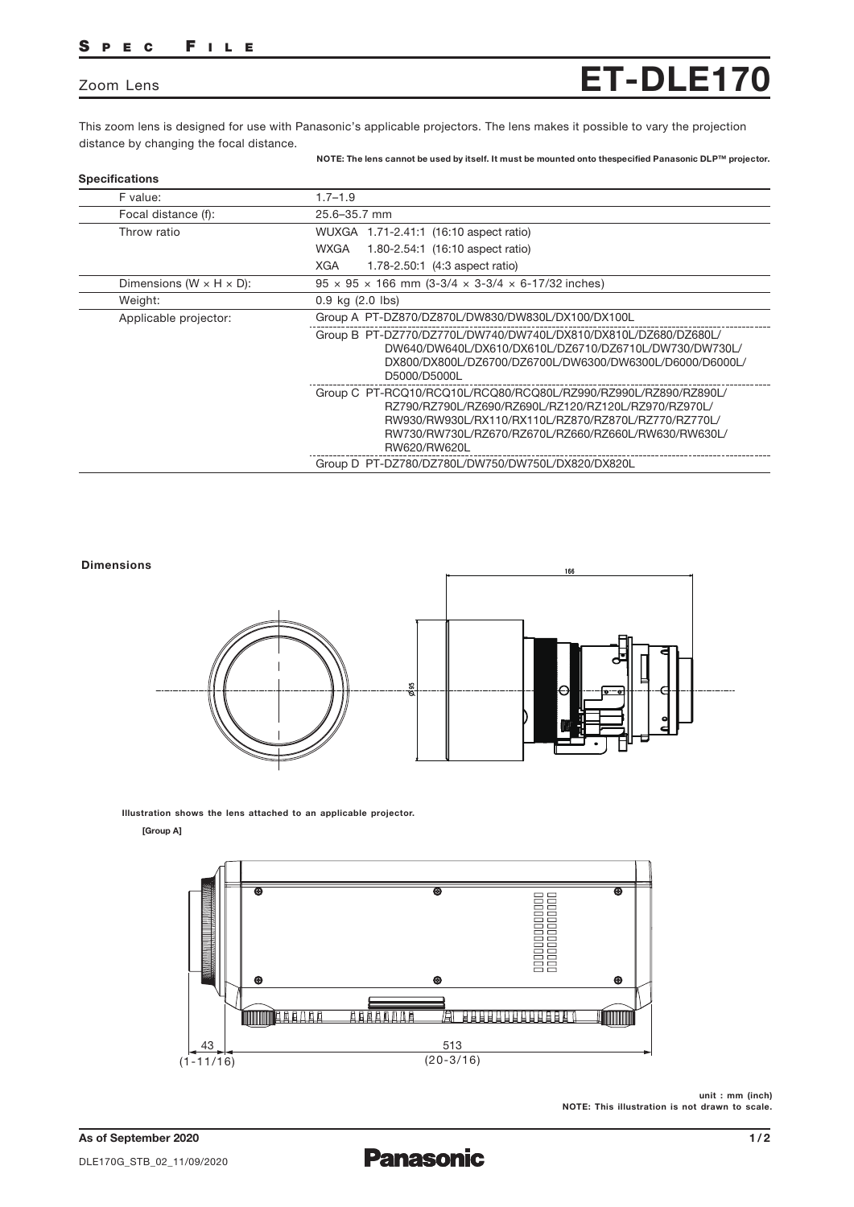## SPEC FILE

## Zoom Lens

This zoom lens is designed for use with Panasonic's applicable projectors. The lens makes it possible to vary the projection distance by changing the focal distance.

NOTE: The lens cannot be used by itself. It must be mounted onto thespecified Panasonic DLP™ projector.

ET-DLE170

| F value:                              | $1.7 - 1.9$                                                                                                                                                                                                                                             |
|---------------------------------------|---------------------------------------------------------------------------------------------------------------------------------------------------------------------------------------------------------------------------------------------------------|
| Focal distance (f):                   | 25.6-35.7 mm                                                                                                                                                                                                                                            |
| Throw ratio                           | WUXGA 1.71-2.41:1 (16:10 aspect ratio)                                                                                                                                                                                                                  |
|                                       | WXGA<br>1.80-2.54:1 (16:10 aspect ratio)                                                                                                                                                                                                                |
|                                       | <b>XGA</b><br>1.78-2.50.1 (4:3 aspect ratio)                                                                                                                                                                                                            |
| Dimensions (W $\times$ H $\times$ D): | $95 \times 95 \times 166$ mm $(3-3/4 \times 3-3/4 \times 6-17/32)$ inches)                                                                                                                                                                              |
| Weight:                               | $0.9$ kg $(2.0$ lbs)                                                                                                                                                                                                                                    |
| Applicable projector:                 | Group A PT-DZ870/DZ870L/DW830/DW830L/DX100/DX100L                                                                                                                                                                                                       |
|                                       | Group B PT-DZ770/DZ770L/DW740/DW740L/DX810/DX810L/DZ680/DZ680L/<br>DW640/DW640L/DX610/DX610L/DZ6710/DZ6710L/DW730/DW730L/<br>DX800/DX800L/DZ6700/DZ6700L/DW6300/DW6300L/D6000/D6000L/<br>D5000/D5000L                                                   |
|                                       | Group C PT-RCQ10/RCQ10L/RCQ80/RCQ80L/RZ990/RZ990L/RZ890/RZ890L/<br>RZ790/RZ790L/RZ690/RZ690L/RZ120/RZ120L/RZ970/RZ970L/<br>RW930/RW930L/RX110/RX110L/RZ870/RZ870L/RZ770/RZ770L/<br>RW730/RW730L/RZ670/RZ670L/RZ660/RZ660L/RW630/RW630L/<br>RW620/RW620L |
|                                       | Group D PT-DZ780/DZ780L/DW750/DW750L/DX820/DX820L                                                                                                                                                                                                       |



Illustration shows the lens attached to an applicable projector.

## [Group A]



unit : mm (inch) NOTE: This illustration is not drawn to scale.